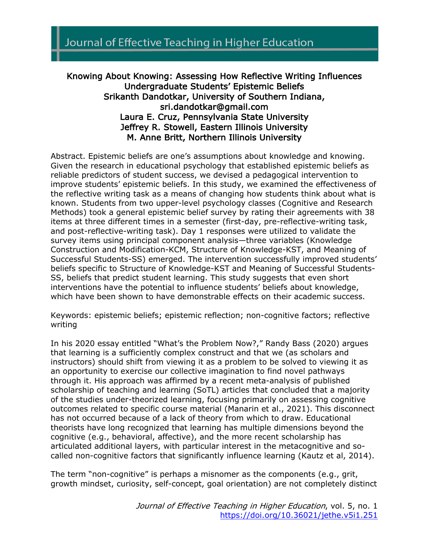# Journal of Effective Teaching in Higher Education

# Knowing About Knowing: Assessing How Reflective Writing Influences Undergraduate Students' Epistemic Beliefs Srikanth Dandotkar, University of Southern Indiana, sri.dandotkar@gmail.com Laura E. Cruz, Pennsylvania State University Jeffrey R. Stowell, Eastern Illinois University M. Anne Britt, Northern Illinois University

Abstract. Epistemic beliefs are one's assumptions about knowledge and knowing. Given the research in educational psychology that established epistemic beliefs as reliable predictors of student success, we devised a pedagogical intervention to improve students' epistemic beliefs. In this study, we examined the effectiveness of the reflective writing task as a means of changing how students think about what is known. Students from two upper-level psychology classes (Cognitive and Research Methods) took a general epistemic belief survey by rating their agreements with 38 items at three different times in a semester (first-day, pre-reflective-writing task, and post-reflective-writing task). Day 1 responses were utilized to validate the survey items using principal component analysis—three variables (Knowledge Construction and Modification-KCM, Structure of Knowledge-KST, and Meaning of Successful Students-SS) emerged. The intervention successfully improved students' beliefs specific to Structure of Knowledge-KST and Meaning of Successful Students-SS, beliefs that predict student learning. This study suggests that even short interventions have the potential to influence students' beliefs about knowledge, which have been shown to have demonstrable effects on their academic success.

Keywords: epistemic beliefs; epistemic reflection; non-cognitive factors; reflective writing

In his 2020 essay entitled "What's the Problem Now?," Randy Bass (2020) argues that learning is a sufficiently complex construct and that we (as scholars and instructors) should shift from viewing it as a problem to be solved to viewing it as an opportunity to exercise our collective imagination to find novel pathways through it. His approach was affirmed by a recent meta-analysis of published scholarship of teaching and learning (SoTL) articles that concluded that a majority of the studies under-theorized learning, focusing primarily on assessing cognitive outcomes related to specific course material (Manarin et al., 2021). This disconnect has not occurred because of a lack of theory from which to draw. Educational theorists have long recognized that learning has multiple dimensions beyond the cognitive (e.g., behavioral, affective), and the more recent scholarship has articulated additional layers, with particular interest in the metacognitive and socalled non-cognitive factors that significantly influence learning (Kautz et al, 2014).

The term "non-cognitive" is perhaps a misnomer as the components (e.g., grit, growth mindset, curiosity, self-concept, goal orientation) are not completely distinct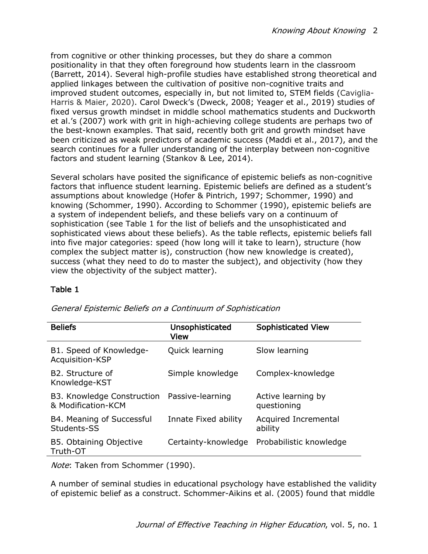from cognitive or other thinking processes, but they do share a common positionality in that they often foreground how students learn in the classroom (Barrett, 2014). Several high-profile studies have established strong theoretical and applied linkages between the cultivation of positive non-cognitive traits and improved student outcomes, especially in, but not limited to, STEM fields (Caviglia-Harris & Maier, 2020). Carol Dweck's (Dweck, 2008; Yeager et al., 2019) studies of fixed versus growth mindset in middle school mathematics students and Duckworth et al.'s (2007) work with grit in high-achieving college students are perhaps two of the best-known examples. That said, recently both grit and growth mindset have been criticized as weak predictors of academic success (Maddi et al., 2017), and the search continues for a fuller understanding of the interplay between non-cognitive factors and student learning (Stankov & Lee, 2014).

Several scholars have posited the significance of epistemic beliefs as non-cognitive factors that influence student learning. Epistemic beliefs are defined as a student's assumptions about knowledge (Hofer & Pintrich, 1997; Schommer, 1990) and knowing (Schommer, 1990). According to Schommer (1990), epistemic beliefs are a system of independent beliefs, and these beliefs vary on a continuum of sophistication (see Table 1 for the list of beliefs and the unsophisticated and sophisticated views about these beliefs). As the table reflects, epistemic beliefs fall into five major categories: speed (how long will it take to learn), structure (how complex the subject matter is), construction (how new knowledge is created), success (what they need to do to master the subject), and objectivity (how they view the objectivity of the subject matter).

#### Table 1

| <b>Beliefs</b>                                   | Unsophisticated<br>View | <b>Sophisticated View</b>         |
|--------------------------------------------------|-------------------------|-----------------------------------|
| B1. Speed of Knowledge-<br>Acquisition-KSP       | Quick learning          | Slow learning                     |
| B2. Structure of<br>Knowledge-KST                | Simple knowledge        | Complex-knowledge                 |
| B3. Knowledge Construction<br>& Modification-KCM | Passive-learning        | Active learning by<br>questioning |
| B4. Meaning of Successful<br>Students-SS         | Innate Fixed ability    | Acquired Incremental<br>ability   |
| B5. Obtaining Objective<br>Truth-OT              | Certainty-knowledge     | Probabilistic knowledge           |

General Epistemic Beliefs on a Continuum of Sophistication

Note: Taken from Schommer (1990).

A number of seminal studies in educational psychology have established the validity of epistemic belief as a construct. Schommer-Aikins et al. (2005) found that middle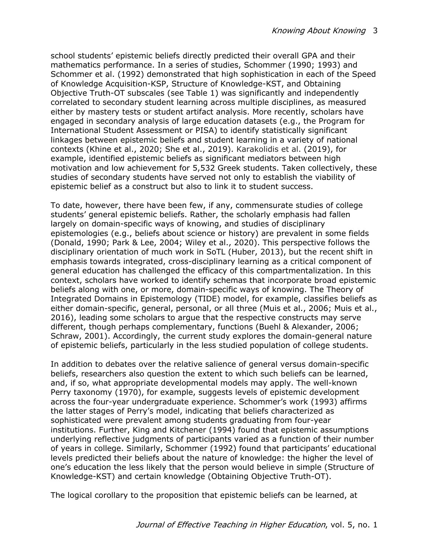school students' epistemic beliefs directly predicted their overall GPA and their mathematics performance. In a series of studies, Schommer (1990; 1993) and Schommer et al. (1992) demonstrated that high sophistication in each of the Speed of Knowledge Acquisition-KSP, Structure of Knowledge-KST, and Obtaining Objective Truth-OT subscales (see Table 1) was significantly and independently correlated to secondary student learning across multiple disciplines, as measured either by mastery tests or student artifact analysis. More recently, scholars have engaged in secondary analysis of large education datasets (e.g., the Program for International Student Assessment or PISA) to identify statistically significant linkages between epistemic beliefs and student learning in a variety of national contexts (Khine et al., 2020; She et al., 2019). Karakolidis et al. (2019), for example, identified epistemic beliefs as significant mediators between high motivation and low achievement for 5,532 Greek students. Taken collectively, these studies of secondary students have served not only to establish the viability of epistemic belief as a construct but also to link it to student success.

To date, however, there have been few, if any, commensurate studies of college students' general epistemic beliefs. Rather, the scholarly emphasis had fallen largely on domain-specific ways of knowing, and studies of disciplinary epistemologies (e.g., beliefs about science or history) are prevalent in some fields (Donald, 1990; Park & Lee, 2004; Wiley et al., 2020). This perspective follows the disciplinary orientation of much work in SoTL (Huber, 2013), but the recent shift in emphasis towards integrated, cross-disciplinary learning as a critical component of general education has challenged the efficacy of this compartmentalization. In this context, scholars have worked to identify schemas that incorporate broad epistemic beliefs along with one, or more, domain-specific ways of knowing. The Theory of Integrated Domains in Epistemology (TIDE) model, for example, classifies beliefs as either domain-specific, general, personal, or all three (Muis et al., 2006; Muis et al., 2016), leading some scholars to argue that the respective constructs may serve different, though perhaps complementary, functions (Buehl & Alexander, 2006; Schraw, 2001). Accordingly, the current study explores the domain-general nature of epistemic beliefs, particularly in the less studied population of college students.

In addition to debates over the relative salience of general versus domain-specific beliefs, researchers also question the extent to which such beliefs can be learned, and, if so, what appropriate developmental models may apply. The well-known Perry taxonomy (1970), for example, suggests levels of epistemic development across the four-year undergraduate experience. Schommer's work (1993) affirms the latter stages of Perry's model, indicating that beliefs characterized as sophisticated were prevalent among students graduating from four-year institutions. Further, King and Kitchener (1994) found that epistemic assumptions underlying reflective judgments of participants varied as a function of their number of years in college. Similarly, Schommer (1992) found that participants' educational levels predicted their beliefs about the nature of knowledge: the higher the level of one's education the less likely that the person would believe in simple (Structure of Knowledge-KST) and certain knowledge (Obtaining Objective Truth-OT).

The logical corollary to the proposition that epistemic beliefs can be learned, at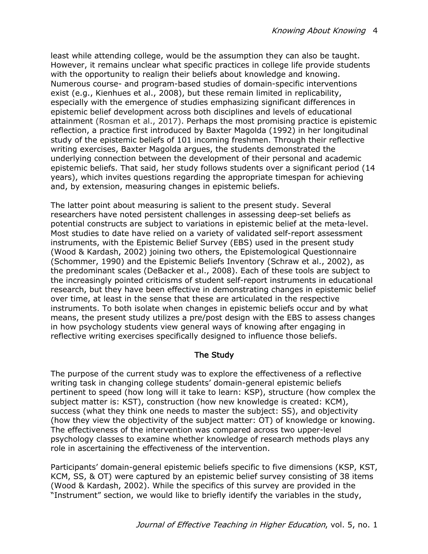least while attending college, would be the assumption they can also be taught. However, it remains unclear what specific practices in college life provide students with the opportunity to realign their beliefs about knowledge and knowing. Numerous course- and program-based studies of domain-specific interventions exist (e.g., Kienhues et al., 2008), but these remain limited in replicability, especially with the emergence of studies emphasizing significant differences in epistemic belief development across both disciplines and levels of educational attainment (Rosman et al., 2017). Perhaps the most promising practice is epistemic reflection, a practice first introduced by Baxter Magolda (1992) in her longitudinal study of the epistemic beliefs of 101 incoming freshmen. Through their reflective writing exercises, Baxter Magolda argues, the students demonstrated the underlying connection between the development of their personal and academic epistemic beliefs. That said, her study follows students over a significant period (14 years), which invites questions regarding the appropriate timespan for achieving and, by extension, measuring changes in epistemic beliefs.

The latter point about measuring is salient to the present study. Several researchers have noted persistent challenges in assessing deep-set beliefs as potential constructs are subject to variations in epistemic belief at the meta-level. Most studies to date have relied on a variety of validated self-report assessment instruments, with the Epistemic Belief Survey (EBS) used in the present study (Wood & Kardash, 2002) joining two others, the Epistemological Questionnaire (Schommer, 1990) and the Epistemic Beliefs Inventory (Schraw et al., 2002), as the predominant scales (DeBacker et al., 2008). Each of these tools are subject to the increasingly pointed criticisms of student self-report instruments in educational research, but they have been effective in demonstrating changes in epistemic belief over time, at least in the sense that these are articulated in the respective instruments. To both isolate when changes in epistemic beliefs occur and by what means, the present study utilizes a pre/post design with the EBS to assess changes in how psychology students view general ways of knowing after engaging in reflective writing exercises specifically designed to influence those beliefs.

#### The Study

The purpose of the current study was to explore the effectiveness of a reflective writing task in changing college students' domain-general epistemic beliefs pertinent to speed (how long will it take to learn: KSP), structure (how complex the subject matter is: KST), construction (how new knowledge is created: KCM), success (what they think one needs to master the subject: SS), and objectivity (how they view the objectivity of the subject matter: OT) of knowledge or knowing. The effectiveness of the intervention was compared across two upper-level psychology classes to examine whether knowledge of research methods plays any role in ascertaining the effectiveness of the intervention.

Participants' domain-general epistemic beliefs specific to five dimensions (KSP, KST, KCM, SS, & OT) were captured by an epistemic belief survey consisting of 38 items (Wood & Kardash, 2002). While the specifics of this survey are provided in the "Instrument" section, we would like to briefly identify the variables in the study,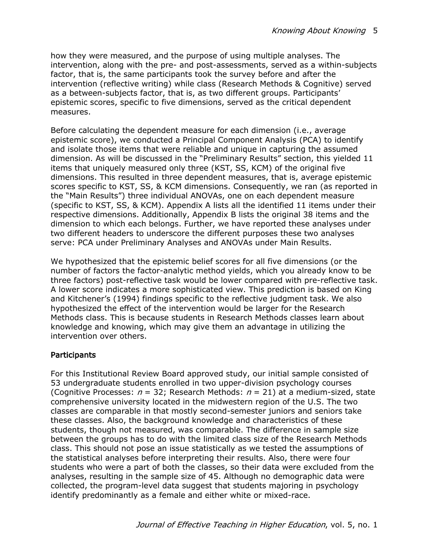how they were measured, and the purpose of using multiple analyses. The intervention, along with the pre- and post-assessments, served as a within-subjects factor, that is, the same participants took the survey before and after the intervention (reflective writing) while class (Research Methods & Cognitive) served as a between-subjects factor, that is, as two different groups. Participants' epistemic scores, specific to five dimensions, served as the critical dependent measures.

Before calculating the dependent measure for each dimension (i.e., average epistemic score), we conducted a Principal Component Analysis (PCA) to identify and isolate those items that were reliable and unique in capturing the assumed dimension. As will be discussed in the "Preliminary Results" section, this yielded 11 items that uniquely measured only three (KST, SS, KCM) of the original five dimensions. This resulted in three dependent measures, that is, average epistemic scores specific to KST, SS, & KCM dimensions. Consequently, we ran (as reported in the "Main Results") three individual ANOVAs, one on each dependent measure (specific to KST, SS, & KCM). Appendix A lists all the identified 11 items under their respective dimensions. Additionally, Appendix B lists the original 38 items and the dimension to which each belongs. Further, we have reported these analyses under two different headers to underscore the different purposes these two analyses serve: PCA under Preliminary Analyses and ANOVAs under Main Results.

We hypothesized that the epistemic belief scores for all five dimensions (or the number of factors the factor-analytic method yields, which you already know to be three factors) post-reflective task would be lower compared with pre-reflective task. A lower score indicates a more sophisticated view. This prediction is based on King and Kitchener's (1994) findings specific to the reflective judgment task. We also hypothesized the effect of the intervention would be larger for the Research Methods class. This is because students in Research Methods classes learn about knowledge and knowing, which may give them an advantage in utilizing the intervention over others.

#### **Participants**

For this Institutional Review Board approved study, our initial sample consisted of 53 undergraduate students enrolled in two upper-division psychology courses (Cognitive Processes:  $n = 32$ ; Research Methods:  $n = 21$ ) at a medium-sized, state comprehensive university located in the midwestern region of the U.S. The two classes are comparable in that mostly second-semester juniors and seniors take these classes. Also, the background knowledge and characteristics of these students, though not measured, was comparable. The difference in sample size between the groups has to do with the limited class size of the Research Methods class. This should not pose an issue statistically as we tested the assumptions of the statistical analyses before interpreting their results. Also, there were four students who were a part of both the classes, so their data were excluded from the analyses, resulting in the sample size of 45. Although no demographic data were collected, the program-level data suggest that students majoring in psychology identify predominantly as a female and either white or mixed-race.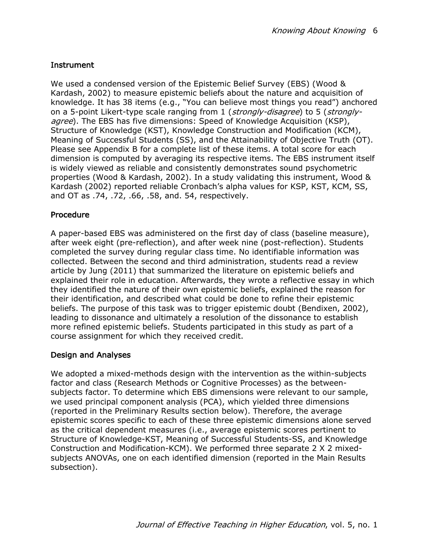# **Instrument**

We used a condensed version of the Epistemic Belief Survey (EBS) (Wood & Kardash, 2002) to measure epistemic beliefs about the nature and acquisition of knowledge. It has 38 items (e.g., "You can believe most things you read") anchored on a 5-point Likert-type scale ranging from 1 (strongly-disagree) to 5 (stronglyagree). The EBS has five dimensions: Speed of Knowledge Acquisition (KSP), Structure of Knowledge (KST), Knowledge Construction and Modification (KCM), Meaning of Successful Students (SS), and the Attainability of Objective Truth (OT). Please see Appendix B for a complete list of these items. A total score for each dimension is computed by averaging its respective items. The EBS instrument itself is widely viewed as reliable and consistently demonstrates sound psychometric properties (Wood & Kardash, 2002). In a study validating this instrument, Wood & Kardash (2002) reported reliable Cronbach's alpha values for KSP, KST, KCM, SS, and OT as .74, .72, .66, .58, and. 54, respectively.

# Procedure

A paper-based EBS was administered on the first day of class (baseline measure), after week eight (pre-reflection), and after week nine (post-reflection). Students completed the survey during regular class time. No identifiable information was collected. Between the second and third administration, students read a review article by Jung (2011) that summarized the literature on epistemic beliefs and explained their role in education. Afterwards, they wrote a reflective essay in which they identified the nature of their own epistemic beliefs, explained the reason for their identification, and described what could be done to refine their epistemic beliefs. The purpose of this task was to trigger epistemic doubt (Bendixen, 2002), leading to dissonance and ultimately a resolution of the dissonance to establish more refined epistemic beliefs. Students participated in this study as part of a course assignment for which they received credit.

# Design and Analyses

We adopted a mixed-methods design with the intervention as the within-subjects factor and class (Research Methods or Cognitive Processes) as the betweensubjects factor. To determine which EBS dimensions were relevant to our sample, we used principal component analysis (PCA), which yielded three dimensions (reported in the Preliminary Results section below). Therefore, the average epistemic scores specific to each of these three epistemic dimensions alone served as the critical dependent measures (i.e., average epistemic scores pertinent to Structure of Knowledge-KST, Meaning of Successful Students-SS, and Knowledge Construction and Modification-KCM). We performed three separate 2 X 2 mixedsubjects ANOVAs, one on each identified dimension (reported in the Main Results subsection).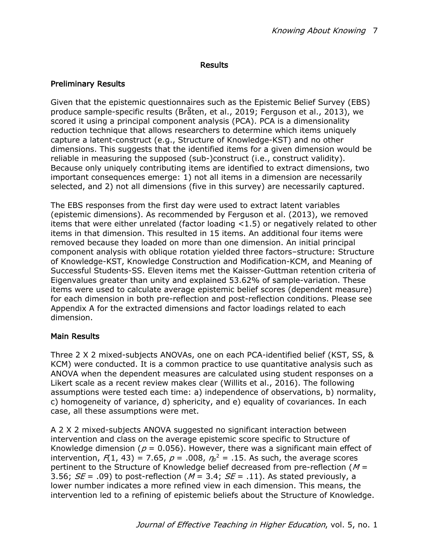#### Results

## Preliminary Results

Given that the epistemic questionnaires such as the Epistemic Belief Survey (EBS) produce sample-specific results (Bråten, et al., 2019; Ferguson et al., 2013), we scored it using a principal component analysis (PCA). PCA is a dimensionality reduction technique that allows researchers to determine which items uniquely capture a latent-construct (e.g., Structure of Knowledge-KST) and no other dimensions. This suggests that the identified items for a given dimension would be reliable in measuring the supposed (sub-)construct (i.e., construct validity). Because only uniquely contributing items are identified to extract dimensions, two important consequences emerge: 1) not all items in a dimension are necessarily selected, and 2) not all dimensions (five in this survey) are necessarily captured.

The EBS responses from the first day were used to extract latent variables (epistemic dimensions). As recommended by Ferguson et al. (2013), we removed items that were either unrelated (factor loading <1.5) or negatively related to other items in that dimension. This resulted in 15 items. An additional four items were removed because they loaded on more than one dimension. An initial principal component analysis with oblique rotation yielded three factors–structure: Structure of Knowledge-KST, Knowledge Construction and Modification-KCM, and Meaning of Successful Students-SS. Eleven items met the Kaisser-Guttman retention criteria of Eigenvalues greater than unity and explained 53.62% of sample-variation. These items were used to calculate average epistemic belief scores (dependent measure) for each dimension in both pre-reflection and post-reflection conditions. Please see Appendix A for the extracted dimensions and factor loadings related to each dimension.

#### Main Results

Three 2 X 2 mixed-subjects ANOVAs, one on each PCA-identified belief (KST, SS, & KCM) were conducted. It is a common practice to use quantitative analysis such as ANOVA when the dependent measures are calculated using student responses on a Likert scale as a recent review makes clear (Willits et al., 2016). The following assumptions were tested each time: a) independence of observations, b) normality, c) homogeneity of variance, d) sphericity, and e) equality of covariances. In each case, all these assumptions were met.

A 2 X 2 mixed-subjects ANOVA suggested no significant interaction between intervention and class on the average epistemic score specific to Structure of Knowledge dimension ( $p = 0.056$ ). However, there was a significant main effect of intervention,  $F(1, 43) = 7.65$ ,  $p = .008$ ,  $\eta_p^2 = .15$ . As such, the average scores pertinent to the Structure of Knowledge belief decreased from pre-reflection ( $M =$ 3.56;  $SE = .09$ ) to post-reflection ( $M = 3.4$ ;  $SE = .11$ ). As stated previously, a lower number indicates a more refined view in each dimension. This means, the intervention led to a refining of epistemic beliefs about the Structure of Knowledge.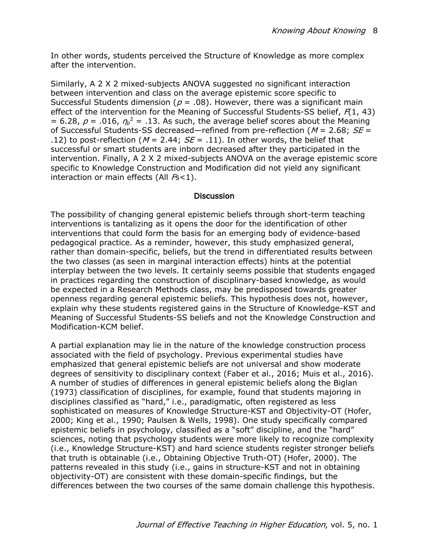In other words, students perceived the Structure of Knowledge as more complex after the intervention.

Similarly, A 2 X 2 mixed-subjects ANOVA suggested no significant interaction between intervention and class on the average epistemic score specific to Successful Students dimension ( $p = .08$ ). However, there was a significant main effect of the intervention for the Meaning of Successful Students-SS belief,  $F(1, 43)$ = 6.28,  $p = .016$ ,  $\eta_p^2 = .13$ . As such, the average belief scores about the Meaning of Successful Students-SS decreased—refined from pre-reflection ( $M = 2.68$ ;  $SE =$ .12) to post-reflection ( $M = 2.44$ ;  $SE = .11$ ). In other words, the belief that successful or smart students are inborn decreased after they participated in the intervention. Finally, A 2 X 2 mixed-subjects ANOVA on the average epistemic score specific to Knowledge Construction and Modification did not yield any significant interaction or main effects (All  $Fs$ <1).

#### **Discussion**

The possibility of changing general epistemic beliefs through short-term teaching interventions is tantalizing as it opens the door for the identification of other interventions that could form the basis for an emerging body of evidence-based pedagogical practice. As a reminder, however, this study emphasized general, rather than domain-specific, beliefs, but the trend in differentiated results between the two classes (as seen in marginal interaction effects) hints at the potential interplay between the two levels. It certainly seems possible that students engaged in practices regarding the construction of disciplinary-based knowledge, as would be expected in a Research Methods class, may be predisposed towards greater openness regarding general epistemic beliefs. This hypothesis does not, however, explain why these students registered gains in the Structure of Knowledge-KST and Meaning of Successful Students-SS beliefs and not the Knowledge Construction and Modification-KCM belief.

A partial explanation may lie in the nature of the knowledge construction process associated with the field of psychology. Previous experimental studies have emphasized that general epistemic beliefs are not universal and show moderate degrees of sensitivity to disciplinary context (Faber et al., 2016; Muis et al., 2016). A number of studies of differences in general epistemic beliefs along the Biglan (1973) classification of disciplines, for example, found that students majoring in disciplines classified as "hard," i.e., paradigmatic, often registered as less sophisticated on measures of Knowledge Structure-KST and Objectivity-OT (Hofer, 2000; King et al., 1990; Paulsen & Wells, 1998). One study specifically compared epistemic beliefs in psychology, classified as a "soft" discipline, and the "hard" sciences, noting that psychology students were more likely to recognize complexity (i.e., Knowledge Structure-KST) and hard science students register stronger beliefs that truth is obtainable (i.e., Obtaining Objective Truth-OT) (Hofer, 2000). The patterns revealed in this study (i.e., gains in structure-KST and not in obtaining objectivity-OT) are consistent with these domain-specific findings, but the differences between the two courses of the same domain challenge this hypothesis.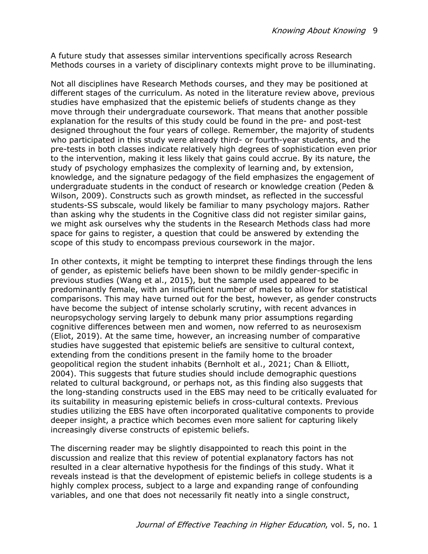A future study that assesses similar interventions specifically across Research Methods courses in a variety of disciplinary contexts might prove to be illuminating.

Not all disciplines have Research Methods courses, and they may be positioned at different stages of the curriculum. As noted in the literature review above, previous studies have emphasized that the epistemic beliefs of students change as they move through their undergraduate coursework. That means that another possible explanation for the results of this study could be found in the pre- and post-test designed throughout the four years of college. Remember, the majority of students who participated in this study were already third- or fourth-year students, and the pre-tests in both classes indicate relatively high degrees of sophistication even prior to the intervention, making it less likely that gains could accrue. By its nature, the study of psychology emphasizes the complexity of learning and, by extension, knowledge, and the signature pedagogy of the field emphasizes the engagement of undergraduate students in the conduct of research or knowledge creation (Peden & Wilson, 2009). Constructs such as growth mindset, as reflected in the successful students-SS subscale, would likely be familiar to many psychology majors. Rather than asking why the students in the Cognitive class did not register similar gains, we might ask ourselves why the students in the Research Methods class had more space for gains to register, a question that could be answered by extending the scope of this study to encompass previous coursework in the major.

In other contexts, it might be tempting to interpret these findings through the lens of gender, as epistemic beliefs have been shown to be mildly gender-specific in previous studies (Wang et al., 2015), but the sample used appeared to be predominantly female, with an insufficient number of males to allow for statistical comparisons. This may have turned out for the best, however, as gender constructs have become the subject of intense scholarly scrutiny, with recent advances in neuropsychology serving largely to debunk many prior assumptions regarding cognitive differences between men and women, now referred to as neurosexism (Eliot, 2019). At the same time, however, an increasing number of comparative studies have suggested that epistemic beliefs are sensitive to cultural context, extending from the conditions present in the family home to the broader geopolitical region the student inhabits (Bernholt et al., 2021; Chan & Elliott, 2004). This suggests that future studies should include demographic questions related to cultural background, or perhaps not, as this finding also suggests that the long-standing constructs used in the EBS may need to be critically evaluated for its suitability in measuring epistemic beliefs in cross-cultural contexts. Previous studies utilizing the EBS have often incorporated qualitative components to provide deeper insight, a practice which becomes even more salient for capturing likely increasingly diverse constructs of epistemic beliefs.

The discerning reader may be slightly disappointed to reach this point in the discussion and realize that this review of potential explanatory factors has not resulted in a clear alternative hypothesis for the findings of this study. What it reveals instead is that the development of epistemic beliefs in college students is a highly complex process, subject to a large and expanding range of confounding variables, and one that does not necessarily fit neatly into a single construct,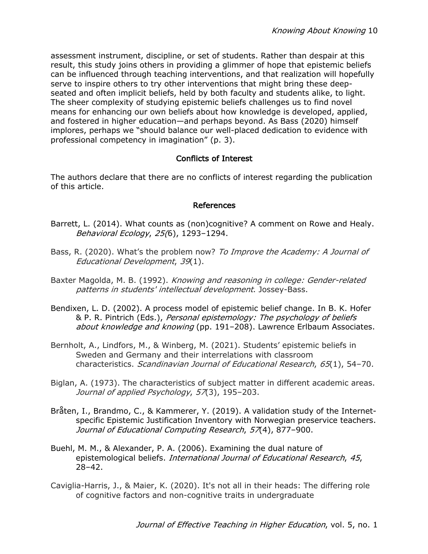assessment instrument, discipline, or set of students. Rather than despair at this result, this study joins others in providing a glimmer of hope that epistemic beliefs can be influenced through teaching interventions, and that realization will hopefully serve to inspire others to try other interventions that might bring these deepseated and often implicit beliefs, held by both faculty and students alike, to light. The sheer complexity of studying epistemic beliefs challenges us to find novel means for enhancing our own beliefs about how knowledge is developed, applied, and fostered in higher education—and perhaps beyond. As Bass (2020) himself implores, perhaps we "should balance our well-placed dedication to evidence with professional competency in imagination" (p. 3).

#### Conflicts of Interest

The authors declare that there are no conflicts of interest regarding the publication of this article.

#### References

- Barrett, L. (2014). What counts as (non)cognitive? A comment on Rowe and Healy. Behavioral Ecology, 25(6), 1293–1294.
- Bass, R. (2020). What's the problem now? To Improve the Academy: A Journal of Educational Development, 39(1).
- Baxter Magolda, M. B. (1992). Knowing and reasoning in college: Gender-related patterns in students' intellectual development. Jossey-Bass.
- Bendixen, L. D. (2002). A process model of epistemic belief change. In B. K. Hofer & P. R. Pintrich (Eds.), Personal epistemology: The psychology of beliefs about knowledge and knowing (pp. 191-208). Lawrence Erlbaum Associates.
- Bernholt, A., Lindfors, M., & Winberg, M. (2021). Students' epistemic beliefs in Sweden and Germany and their interrelations with classroom characteristics. Scandinavian Journal of Educational Research, 65(1), 54-70.
- Biglan, A. (1973). The characteristics of subject matter in different academic areas. Journal of applied Psychology, 57(3), 195-203.
- Bråten, I., Brandmo, C., & Kammerer, Y. (2019). A validation study of the Internetspecific Epistemic Justification Inventory with Norwegian preservice teachers. Journal of Educational Computing Research, 57(4), 877-900.
- Buehl, M. M., & Alexander, P. A. (2006). Examining the dual nature of epistemological beliefs. International Journal of Educational Research, 45, 28–42.
- Caviglia-Harris, J., & Maier, K. (2020). It's not all in their heads: The differing role of cognitive factors and non-cognitive traits in undergraduate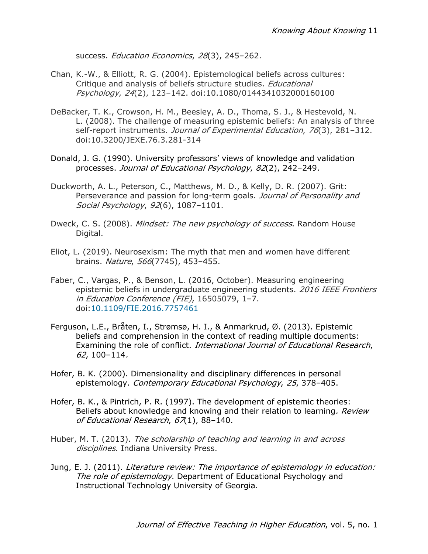success. Education Economics, 28(3), 245-262.

- Chan, K.-W., & Elliott, R. G. (2004). Epistemological beliefs across cultures: Critique and analysis of beliefs structure studies. Educational Psychology, 24(2), 123–142. doi:10.1080/0144341032000160100
- DeBacker, T. K., Crowson, H. M., Beesley, A. D., Thoma, S. J., & Hestevold, N. L. (2008). The challenge of measuring epistemic beliefs: An analysis of three self-report instruments. Journal of Experimental Education, 76(3), 281-312. doi:10.3200/JEXE.76.3.281-314
- Donald, J. G. (1990). University professors' views of knowledge and validation processes. Journal of Educational Psychology, 82(2), 242–249.
- Duckworth, A. L., Peterson, C., Matthews, M. D., & Kelly, D. R. (2007). Grit: Perseverance and passion for long-term goals. Journal of Personality and Social Psychology, 92(6), 1087–1101.
- Dweck, C. S. (2008). *Mindset: The new psychology of success*. Random House Digital.
- Eliot, L. (2019). Neurosexism: The myth that men and women have different brains. Nature, 566(7745), 453-455.
- Faber, C., Vargas, P., & Benson, L. (2016, October). Measuring engineering epistemic beliefs in undergraduate engineering students. 2016 IEEE Frontiers in Education Conference (FIE), 16505079, 1–7. doi:10.1109/FIE.2016.7757461
- Ferguson, L.E., Bråten, I., Strømsø, H. I., & Anmarkrud, Ø. (2013). Epistemic beliefs and comprehension in the context of reading multiple documents: Examining the role of conflict. International Journal of Educational Research, 62, 100–114.
- Hofer, B. K. (2000). Dimensionality and disciplinary differences in personal epistemology. Contemporary Educational Psychology, 25, 378–405.
- Hofer, B. K., & Pintrich, P. R. (1997). The development of epistemic theories: Beliefs about knowledge and knowing and their relation to learning. Review of Educational Research, 67(1), 88-140.
- Huber, M. T. (2013). The scholarship of teaching and learning in and across disciplines. Indiana University Press.
- Jung, E. J. (2011). Literature review: The importance of epistemology in education: The role of epistemology. Department of Educational Psychology and Instructional Technology University of Georgia.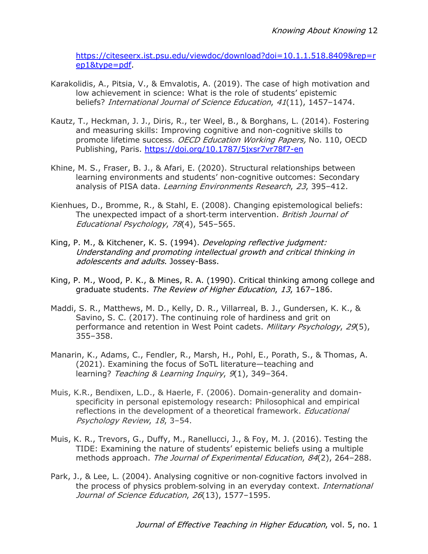https://citeseerx.ist.psu.edu/viewdoc/download?doi=10.1.1.518.8409&rep=r ep1&type=pdf.

- Karakolidis, A., Pitsia, V., & Emvalotis, A. (2019). The case of high motivation and low achievement in science: What is the role of students' epistemic beliefs? International Journal of Science Education, 41(11), 1457-1474.
- Kautz, T., Heckman, J. J., Diris, R., ter Weel, B., & Borghans, L. (2014). Fostering and measuring skills: Improving cognitive and non-cognitive skills to promote lifetime success. OECD Education Working Papers, No. 110, OECD Publishing, Paris. https://doi.org/10.1787/5jxsr7vr78f7-en
- Khine, M. S., Fraser, B. J., & Afari, E. (2020). Structural relationships between learning environments and students' non-cognitive outcomes: Secondary analysis of PISA data. Learning Environments Research, 23, 395-412.
- Kienhues, D., Bromme, R., & Stahl, E. (2008). Changing epistemological beliefs: The unexpected impact of a short-term intervention. British Journal of Educational Psychology, 78(4), 545–565.
- King, P. M., & Kitchener, K. S. (1994). Developing reflective judgment: Understanding and promoting intellectual growth and critical thinking in adolescents and adults. Jossey-Bass.
- King, P. M., Wood, P. K., & Mines, R. A. (1990). Critical thinking among college and graduate students. The Review of Higher Education, 13, 167-186.
- Maddi, S. R., Matthews, M. D., Kelly, D. R., Villarreal, B. J., Gundersen, K. K., & Savino, S. C. (2017). The continuing role of hardiness and grit on performance and retention in West Point cadets. Military Psychology, 29(5), 355–358.
- Manarin, K., Adams, C., Fendler, R., Marsh, H., Pohl, E., Porath, S., & Thomas, A. (2021). Examining the focus of SoTL literature—teaching and learning? Teaching & Learning Inquiry, 9(1), 349-364.
- Muis, K.R., Bendixen, L.D., & Haerle, F. (2006). Domain-generality and domainspecificity in personal epistemology research: Philosophical and empirical reflections in the development of a theoretical framework. *Educational* Psychology Review, 18, 3–54.
- Muis, K. R., Trevors, G., Duffy, M., Ranellucci, J., & Foy, M. J. (2016). Testing the TIDE: Examining the nature of students' epistemic beliefs using a multiple methods approach. The Journal of Experimental Education, 84(2), 264-288.
- Park, J., & Lee, L. (2004). Analysing cognitive or non-cognitive factors involved in the process of physics problem-solving in an everyday context. *International* Journal of Science Education, 26(13), 1577-1595.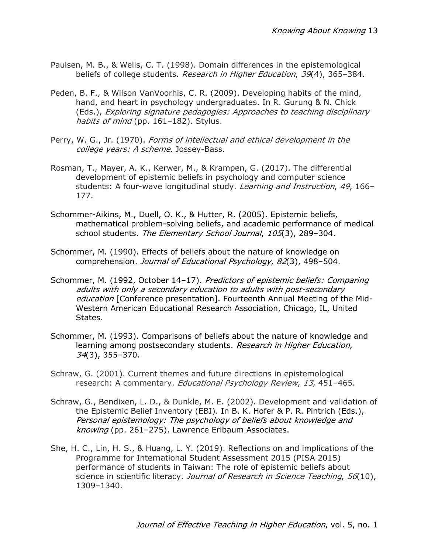- Paulsen, M. B., & Wells, C. T. (1998). Domain differences in the epistemological beliefs of college students. Research in Higher Education, 39(4), 365-384.
- Peden, B. F., & Wilson VanVoorhis, C. R. (2009). Developing habits of the mind, hand, and heart in psychology undergraduates. In R. Gurung & N. Chick (Eds.), Exploring signature pedagogies: Approaches to teaching disciplinary habits of mind (pp. 161-182). Stylus.
- Perry, W. G., Jr. (1970). Forms of intellectual and ethical development in the college years: A scheme. Jossey-Bass.
- Rosman, T., Mayer, A. K., Kerwer, M., & Krampen, G. (2017). The differential development of epistemic beliefs in psychology and computer science students: A four-wave longitudinal study. Learning and Instruction, 49, 166– 177.
- Schommer-Aikins, M., Duell, O. K., & Hutter, R. (2005). Epistemic beliefs, mathematical problem-solving beliefs, and academic performance of medical school students. The Elementary School Journal, 105(3), 289-304.
- Schommer, M. (1990). Effects of beliefs about the nature of knowledge on comprehension. Journal of Educational Psychology, 82(3), 498–504.
- Schommer, M. (1992, October 14-17). Predictors of epistemic beliefs: Comparing adults with only a secondary education to adults with post-secondary education [Conference presentation]. Fourteenth Annual Meeting of the Mid-Western American Educational Research Association, Chicago, IL, United States.
- Schommer, M. (1993). Comparisons of beliefs about the nature of knowledge and learning among postsecondary students. Research in Higher Education, 34(3), 355–370.
- Schraw, G. (2001). Current themes and future directions in epistemological research: A commentary. Educational Psychology Review, 13, 451-465.
- Schraw, G., Bendixen, L. D., & Dunkle, M. E. (2002). Development and validation of the Epistemic Belief Inventory (EBI). In B. K. Hofer & P. R. Pintrich (Eds.), Personal epistemology: The psychology of beliefs about knowledge and knowing (pp. 261–275). Lawrence Erlbaum Associates.
- She, H. C., Lin, H. S., & Huang, L. Y. (2019). Reflections on and implications of the Programme for International Student Assessment 2015 (PISA 2015) performance of students in Taiwan: The role of epistemic beliefs about science in scientific literacy. Journal of Research in Science Teaching, 56(10), 1309–1340.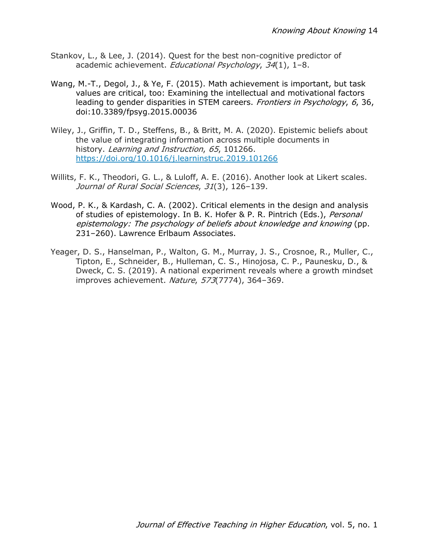- Stankov, L., & Lee, J. (2014). Quest for the best non-cognitive predictor of academic achievement. Educational Psychology, 34(1), 1–8.
- Wang, M.-T., Degol, J., & Ye, F. (2015). Math achievement is important, but task values are critical, too: Examining the intellectual and motivational factors leading to gender disparities in STEM careers. Frontiers in Psychology, 6, 36, doi:10.3389/fpsyg.2015.00036
- Wiley, J., Griffin, T. D., Steffens, B., & Britt, M. A. (2020). Epistemic beliefs about the value of integrating information across multiple documents in history. Learning and Instruction, 65, 101266. https://doi.org/10.1016/j.learninstruc.2019.101266
- Willits, F. K., Theodori, G. L., & Luloff, A. E. (2016). Another look at Likert scales. Journal of Rural Social Sciences, 31(3), 126-139.
- Wood, P. K., & Kardash, C. A. (2002). Critical elements in the design and analysis of studies of epistemology. In B. K. Hofer & P. R. Pintrich (Eds.), *Personal* epistemology: The psychology of beliefs about knowledge and knowing (pp. 231–260). Lawrence Erlbaum Associates.
- Yeager, D. S., Hanselman, P., Walton, G. M., Murray, J. S., Crosnoe, R., Muller, C., Tipton, E., Schneider, B., Hulleman, C. S., Hinojosa, C. P., Paunesku, D., & Dweck, C. S. (2019). A national experiment reveals where a growth mindset improves achievement. Nature, 573(7774), 364-369.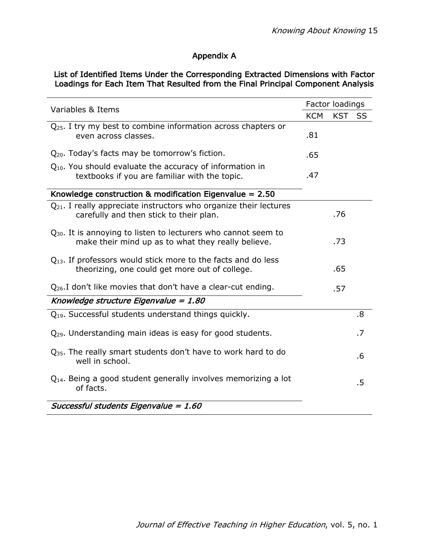# Appendix A

## List of Identified Items Under the Corresponding Extracted Dimensions with Factor Loadings for Each Item That Resulted from the Final Principal Component Analysis

| Variables & Items                                                                                                         |     | Factor loadings |    |  |
|---------------------------------------------------------------------------------------------------------------------------|-----|-----------------|----|--|
|                                                                                                                           |     | <b>KST</b>      | SS |  |
| $Q_{25}$ . I try my best to combine information across chapters or<br>even across classes.                                | .81 |                 |    |  |
| Q <sub>20</sub> . Today's facts may be tomorrow's fiction.                                                                | .65 |                 |    |  |
| $Q_{10}$ . You should evaluate the accuracy of information in<br>textbooks if you are familiar with the topic.            | .47 |                 |    |  |
| Knowledge construction & modification Eigenvalue = $2.50$                                                                 |     |                 |    |  |
| $Q_{21}$ . I really appreciate instructors who organize their lectures<br>carefully and then stick to their plan.         |     | .76             |    |  |
| $Q_{30}$ . It is annoying to listen to lecturers who cannot seem to<br>make their mind up as to what they really believe. |     | .73             |    |  |
| $Q_{13}$ . If professors would stick more to the facts and do less<br>theorizing, one could get more out of college.      |     | .65             |    |  |
| $Q_{26}$ . I don't like movies that don't have a clear-cut ending.                                                        |     | .57             |    |  |
| Knowledge structure Eigenvalue = 1.80                                                                                     |     |                 |    |  |
| $Q_{19}$ . Successful students understand things quickly.                                                                 |     |                 | .8 |  |
| $Q_{29}$ . Understanding main ideas is easy for good students.                                                            |     |                 | .7 |  |
| $Q_{35}$ . The really smart students don't have to work hard to do<br>well in school.                                     |     |                 | .6 |  |
| $Q_{14}$ . Being a good student generally involves memorizing a lot<br>of facts.                                          |     |                 |    |  |
| Successful students Eigenvalue = 1.60                                                                                     |     |                 |    |  |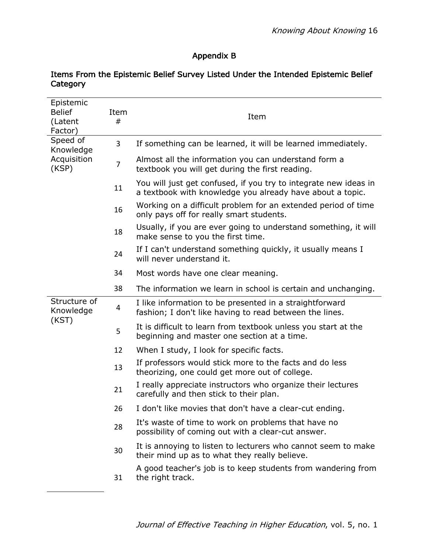# Appendix B

| Epistemic<br><b>Belief</b><br>(Latent<br>Factor) | Item<br>#      | Item                                                                                                                          |
|--------------------------------------------------|----------------|-------------------------------------------------------------------------------------------------------------------------------|
| Speed of<br>Knowledge<br>Acquisition<br>(KSP)    | 3              | If something can be learned, it will be learned immediately.                                                                  |
|                                                  | $\overline{7}$ | Almost all the information you can understand form a<br>textbook you will get during the first reading.                       |
|                                                  | 11             | You will just get confused, if you try to integrate new ideas in<br>a textbook with knowledge you already have about a topic. |
|                                                  | 16             | Working on a difficult problem for an extended period of time<br>only pays off for really smart students.                     |
|                                                  | 18             | Usually, if you are ever going to understand something, it will<br>make sense to you the first time.                          |
|                                                  | 24             | If I can't understand something quickly, it usually means I<br>will never understand it.                                      |
|                                                  | 34             | Most words have one clear meaning.                                                                                            |
|                                                  | 38             | The information we learn in school is certain and unchanging.                                                                 |
| Structure of<br>Knowledge<br>(KST)               | 4              | I like information to be presented in a straightforward<br>fashion; I don't like having to read between the lines.            |
|                                                  | 5              | It is difficult to learn from textbook unless you start at the<br>beginning and master one section at a time.                 |
|                                                  | 12             | When I study, I look for specific facts.                                                                                      |
|                                                  | 13             | If professors would stick more to the facts and do less<br>theorizing, one could get more out of college.                     |
|                                                  | 21             | I really appreciate instructors who organize their lectures<br>carefully and then stick to their plan.                        |
|                                                  | 26             | I don't like movies that don't have a clear-cut ending.                                                                       |
|                                                  | 28             | It's waste of time to work on problems that have no<br>possibility of coming out with a clear-cut answer.                     |
|                                                  | 30             | It is annoying to listen to lecturers who cannot seem to make<br>their mind up as to what they really believe.                |
|                                                  | 31             | A good teacher's job is to keep students from wandering from<br>the right track.                                              |

#### Items From the Epistemic Belief Survey Listed Under the Intended Epistemic Belief **Category**